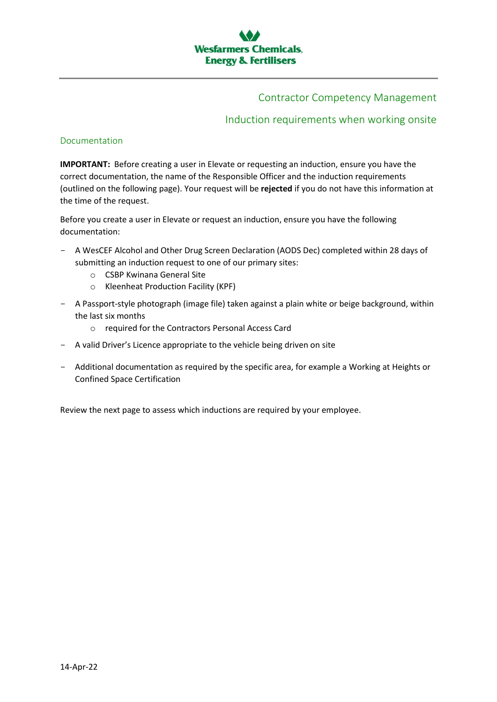## Contractor Competency Management

## Induction requirements when working onsite

#### Documentation

**IMPORTANT:** Before creating a user in Elevate or requesting an induction, ensure you have the correct documentation, the name of the Responsible Officer and the induction requirements (outlined on the following page). Your request will be **rejected** if you do not have this information at the time of the request.

Before you create a user in Elevate or request an induction, ensure you have the following documentation:

- A WesCEF Alcohol and Other Drug Screen Declaration (AODS Dec) completed within 28 days of submitting an induction request to one of our primary sites:
	- o CSBP Kwinana General Site
	- o Kleenheat Production Facility (KPF)
- A Passport-style photograph (image file) taken against a plain white or beige background, within the last six months
	- o required for the Contractors Personal Access Card
- A valid Driver's Licence appropriate to the vehicle being driven on site
- Additional documentation as required by the specific area, for example a Working at Heights or Confined Space Certification

Review the next page to assess which inductions are required by your employee.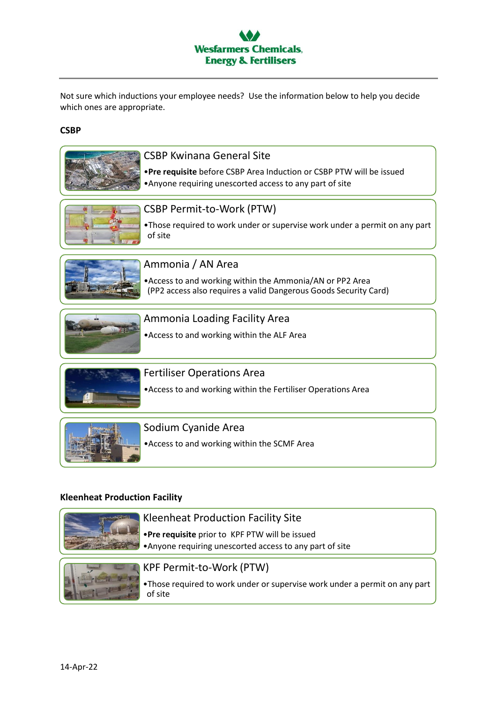

Not sure which inductions your employee needs? Use the information below to help you decide which ones are appropriate.

#### **CSBP**

| <b>CSBP Kwinana General Site</b><br>. Pre requisite before CSBP Area Induction or CSBP PTW will be issued<br>• Anyone requiring unescorted access to any part of site |
|-----------------------------------------------------------------------------------------------------------------------------------------------------------------------|
| CSBP Permit-to-Work (PTW)<br>•Those required to work under or supervise work under a permit on any part<br>of site                                                    |
| Ammonia / AN Area<br>• Access to and working within the Ammonia/AN or PP2 Area<br>(PP2 access also requires a valid Dangerous Goods Security Card)                    |
| Ammonia Loading Facility Area<br>• Access to and working within the ALF Area                                                                                          |
| <b>Fertiliser Operations Area</b><br>• Access to and working within the Fertiliser Operations Area                                                                    |
| Sodium Cyanide Area<br>• Access to and working within the SCMF Area                                                                                                   |

## **Kleenheat Production Facility**



•Those required to work under or supervise work under a permit on any part of site